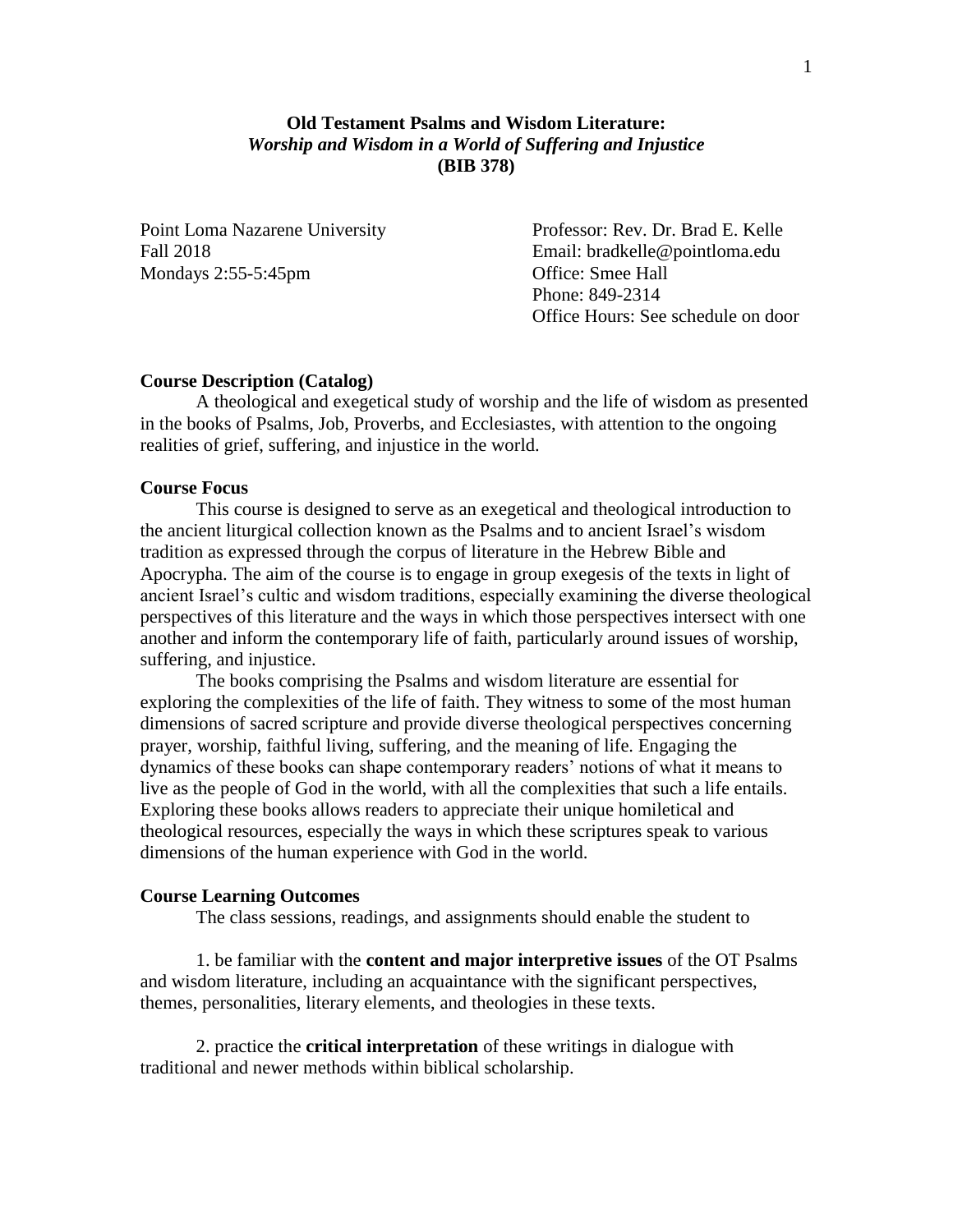# **Old Testament Psalms and Wisdom Literature:** *Worship and Wisdom in a World of Suffering and Injustice* **(BIB 378)**

Mondays 2:55-5:45pm Office: Smee Hall

Point Loma Nazarene University Professor: Rev. Dr. Brad E. Kelle Fall 2018 Email: bradkelle@pointloma.edu Phone: 849-2314 Office Hours: See schedule on door

### **Course Description (Catalog)**

A theological and exegetical study of worship and the life of wisdom as presented in the books of Psalms, Job, Proverbs, and Ecclesiastes, with attention to the ongoing realities of grief, suffering, and injustice in the world.

### **Course Focus**

This course is designed to serve as an exegetical and theological introduction to the ancient liturgical collection known as the Psalms and to ancient Israel's wisdom tradition as expressed through the corpus of literature in the Hebrew Bible and Apocrypha. The aim of the course is to engage in group exegesis of the texts in light of ancient Israel's cultic and wisdom traditions, especially examining the diverse theological perspectives of this literature and the ways in which those perspectives intersect with one another and inform the contemporary life of faith, particularly around issues of worship, suffering, and injustice.

The books comprising the Psalms and wisdom literature are essential for exploring the complexities of the life of faith. They witness to some of the most human dimensions of sacred scripture and provide diverse theological perspectives concerning prayer, worship, faithful living, suffering, and the meaning of life. Engaging the dynamics of these books can shape contemporary readers' notions of what it means to live as the people of God in the world, with all the complexities that such a life entails. Exploring these books allows readers to appreciate their unique homiletical and theological resources, especially the ways in which these scriptures speak to various dimensions of the human experience with God in the world.

#### **Course Learning Outcomes**

The class sessions, readings, and assignments should enable the student to

1. be familiar with the **content and major interpretive issues** of the OT Psalms and wisdom literature, including an acquaintance with the significant perspectives, themes, personalities, literary elements, and theologies in these texts.

2. practice the **critical interpretation** of these writings in dialogue with traditional and newer methods within biblical scholarship.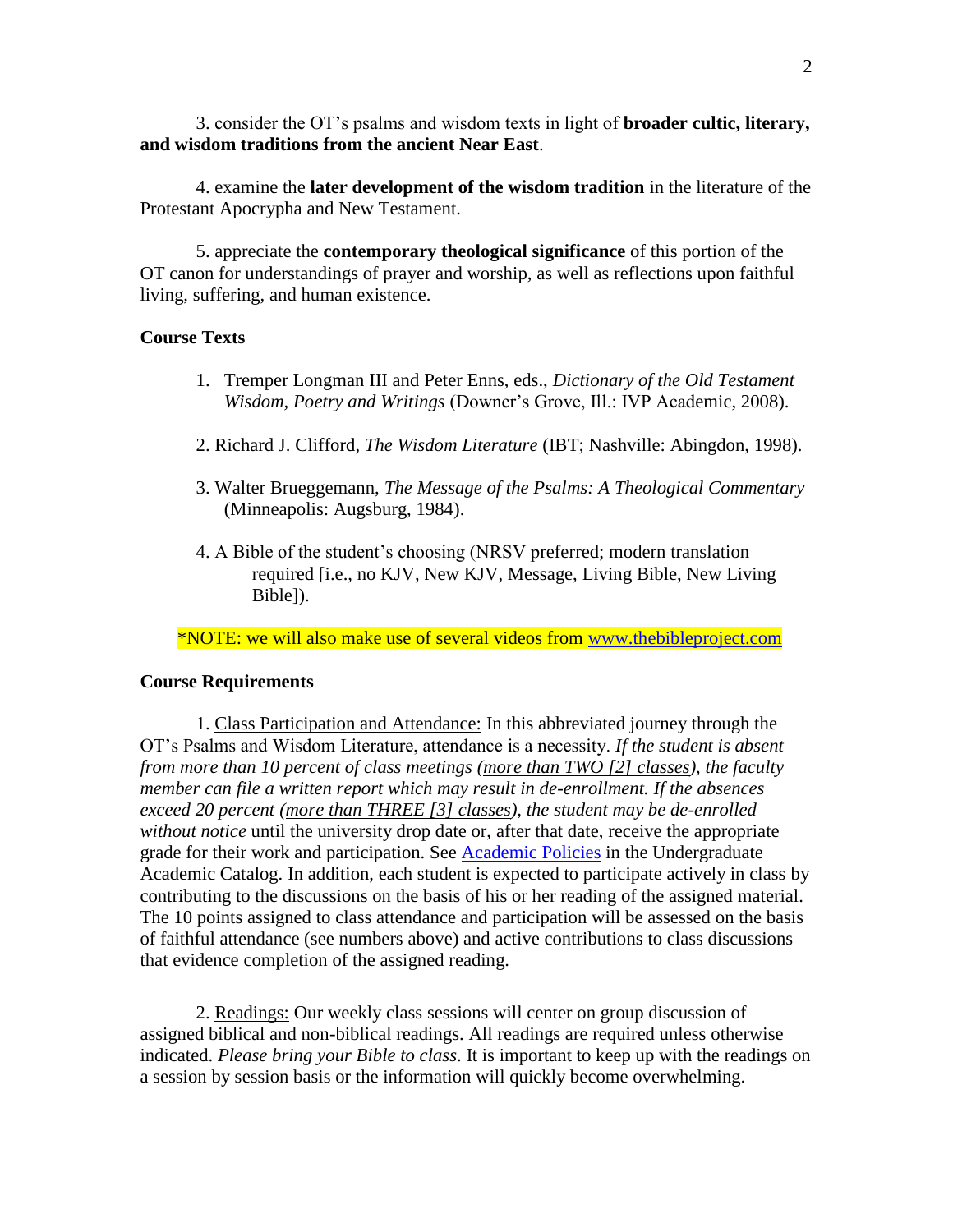3. consider the OT's psalms and wisdom texts in light of **broader cultic, literary, and wisdom traditions from the ancient Near East**.

4. examine the **later development of the wisdom tradition** in the literature of the Protestant Apocrypha and New Testament.

5. appreciate the **contemporary theological significance** of this portion of the OT canon for understandings of prayer and worship, as well as reflections upon faithful living, suffering, and human existence.

### **Course Texts**

- 1. Tremper Longman III and Peter Enns, eds., *Dictionary of the Old Testament Wisdom, Poetry and Writings* (Downer's Grove, Ill.: IVP Academic, 2008).
- 2. Richard J. Clifford, *The Wisdom Literature* (IBT; Nashville: Abingdon, 1998).
- 3. Walter Brueggemann, *The Message of the Psalms: A Theological Commentary (Minneapolis: Augsburg, 1984).*
- 4. A Bible of the student's choosing (NRSV preferred; modern translation required [i.e., no KJV, New KJV, Message, Living Bible, New Living Bible]).

\*NOTE: we will also make use of several videos from [www.thebibleproject.com](http://www.thebibleproject.com/)

#### **Course Requirements**

1. Class Participation and Attendance: In this abbreviated journey through the OT's Psalms and Wisdom Literature, attendance is a necessity. *If the student is absent from more than 10 percent of class meetings (more than TWO [2] classes), the faculty member can file a written report which may result in de-enrollment. If the absences exceed 20 percent (more than THREE [3] classes), the student may be de-enrolled without notice* until the university drop date or, after that date, receive the appropriate grade for their work and participation. See [Academic Policies](http://catalog.pointloma.edu/content.php?catoid=18&navoid=1278) in the Undergraduate Academic Catalog. In addition, each student is expected to participate actively in class by contributing to the discussions on the basis of his or her reading of the assigned material. The 10 points assigned to class attendance and participation will be assessed on the basis of faithful attendance (see numbers above) and active contributions to class discussions that evidence completion of the assigned reading.

2. Readings: Our weekly class sessions will center on group discussion of assigned biblical and non-biblical readings. All readings are required unless otherwise indicated. *Please bring your Bible to class*. It is important to keep up with the readings on a session by session basis or the information will quickly become overwhelming.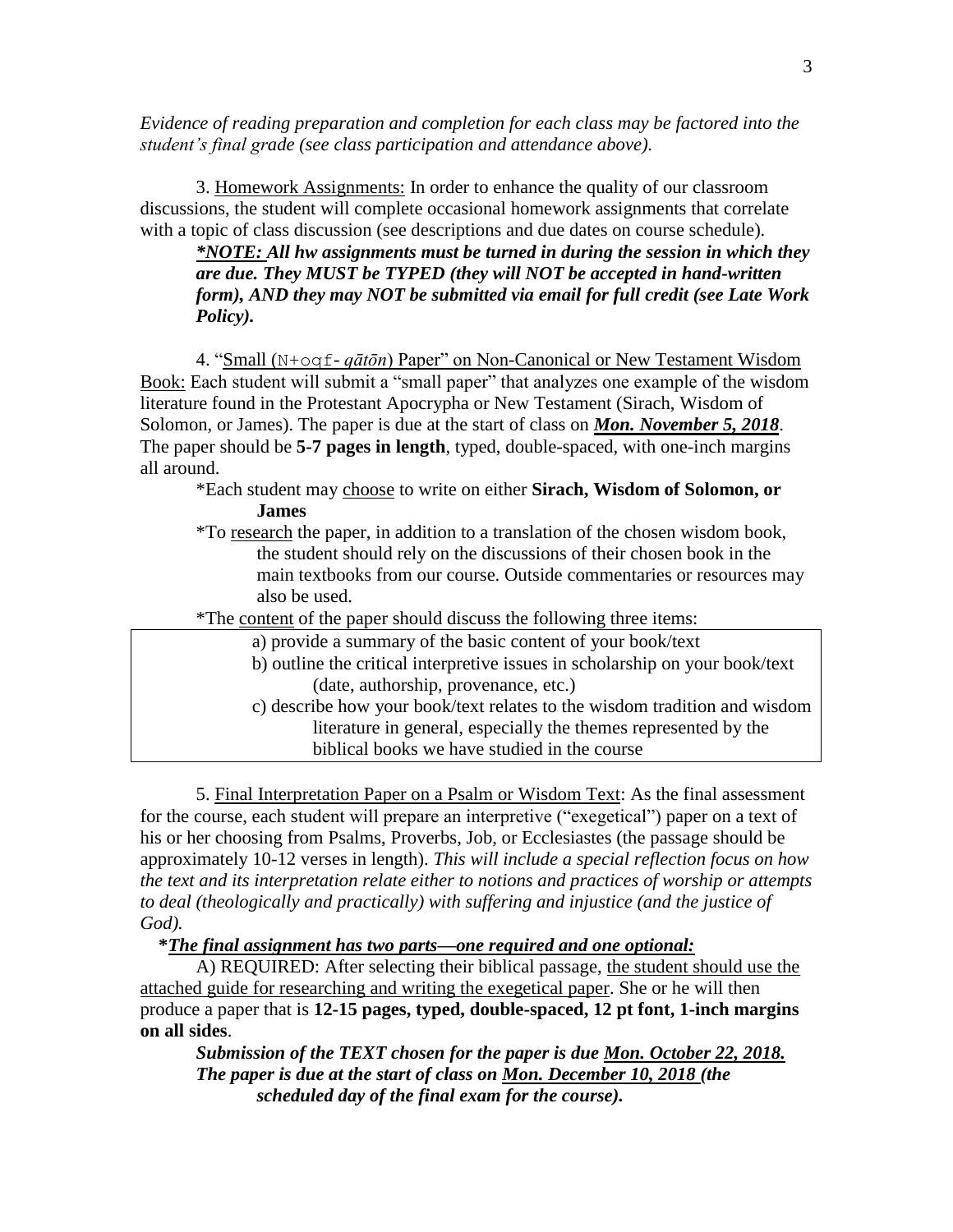*Evidence of reading preparation and completion for each class may be factored into the student's final grade (see class participation and attendance above).*

3. Homework Assignments: In order to enhance the quality of our classroom discussions, the student will complete occasional homework assignments that correlate with a topic of class discussion (see descriptions and due dates on course schedule).

*\*NOTE: All hw assignments must be turned in during the session in which they are due. They MUST be TYPED (they will NOT be accepted in hand-written form), AND they may NOT be submitted via email for full credit (see Late Work Policy).*

4. "Small (N+oqf- *qātōn*) Paper" on Non-Canonical or New Testament Wisdom Book: Each student will submit a "small paper" that analyzes one example of the wisdom literature found in the Protestant Apocrypha or New Testament (Sirach, Wisdom of Solomon, or James). The paper is due at the start of class on *Mon. November 5, 2018*. The paper should be **5-7 pages in length**, typed, double-spaced, with one-inch margins all around.

\*Each student may choose to write on either **Sirach, Wisdom of Solomon, or James**

- \*To research the paper, in addition to a translation of the chosen wisdom book, the student should rely on the discussions of their chosen book in the main textbooks from our course. Outside commentaries or resources may also be used.
- \*The content of the paper should discuss the following three items:
	- a) provide a summary of the basic content of your book/text
	- b) outline the critical interpretive issues in scholarship on your book/text (date, authorship, provenance, etc.)
	- c) describe how your book/text relates to the wisdom tradition and wisdom literature in general, especially the themes represented by the biblical books we have studied in the course

5. Final Interpretation Paper on a Psalm or Wisdom Text: As the final assessment for the course, each student will prepare an interpretive ("exegetical") paper on a text of his or her choosing from Psalms, Proverbs, Job, or Ecclesiastes (the passage should be approximately 10-12 verses in length). *This will include a special reflection focus on how the text and its interpretation relate either to notions and practices of worship or attempts to deal (theologically and practically) with suffering and injustice (and the justice of God).*

# **\****The final assignment has two parts—one required and one optional:*

A) REQUIRED: After selecting their biblical passage, the student should use the attached guide for researching and writing the exegetical paper. She or he will then produce a paper that is **12-15 pages, typed, double-spaced, 12 pt font, 1-inch margins on all sides**.

*Submission of the TEXT chosen for the paper is due Mon. October 22, 2018. The paper is due at the start of class on Mon. December 10, 2018 (the scheduled day of the final exam for the course).*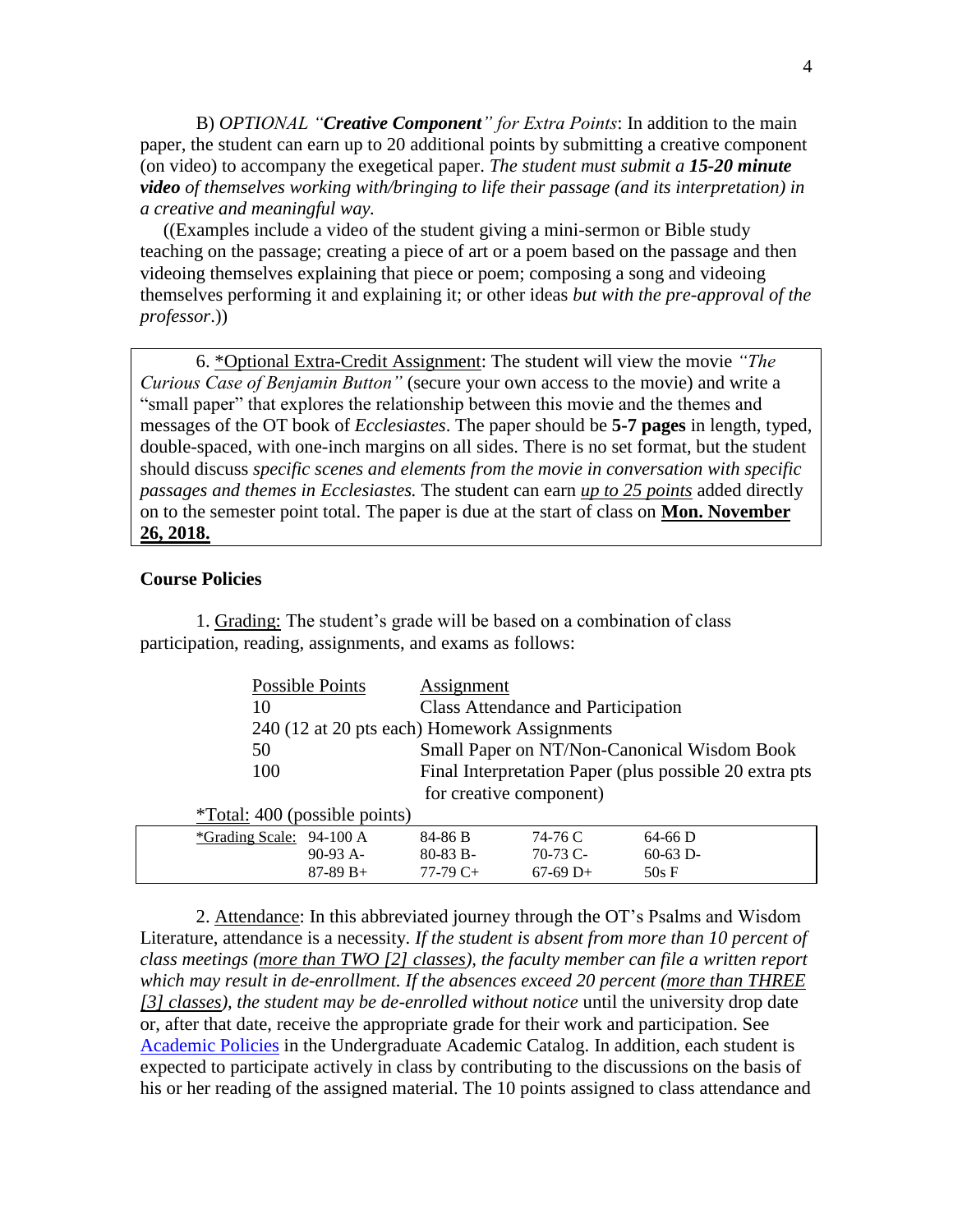B) *OPTIONAL "Creative Component" for Extra Points*: In addition to the main paper, the student can earn up to 20 additional points by submitting a creative component (on video) to accompany the exegetical paper. *The student must submit a 15-20 minute video of themselves working with/bringing to life their passage (and its interpretation) in a creative and meaningful way.*

 ((Examples include a video of the student giving a mini-sermon or Bible study teaching on the passage; creating a piece of art or a poem based on the passage and then videoing themselves explaining that piece or poem; composing a song and videoing themselves performing it and explaining it; or other ideas *but with the pre-approval of the professor*.))

6. \*Optional Extra-Credit Assignment: The student will view the movie *"The Curious Case of Benjamin Button"* (secure your own access to the movie) and write a "small paper" that explores the relationship between this movie and the themes and messages of the OT book of *Ecclesiastes*. The paper should be **5-7 pages** in length, typed, double-spaced, with one-inch margins on all sides. There is no set format, but the student should discuss *specific scenes and elements from the movie in conversation with specific passages and themes in Ecclesiastes.* The student can earn *up to 25 points* added directly on to the semester point total. The paper is due at the start of class on **Mon. November 26, 2018.**

### **Course Policies**

| Possible Points                              | Assignment                                  |                                                        |            |  |
|----------------------------------------------|---------------------------------------------|--------------------------------------------------------|------------|--|
| 10                                           | <b>Class Attendance and Participation</b>   |                                                        |            |  |
| 240 (12 at 20 pts each) Homework Assignments |                                             |                                                        |            |  |
| 50                                           | Small Paper on NT/Non-Canonical Wisdom Book |                                                        |            |  |
| 100                                          |                                             | Final Interpretation Paper (plus possible 20 extra pts |            |  |
| for creative component)                      |                                             |                                                        |            |  |
| $*Total: 400$ (possible points)              |                                             |                                                        |            |  |
| *Grading Scale: 94-100 A                     | 84-86 B                                     | 74-76 C                                                | $64-66$ D  |  |
| $90-93$ A-                                   | $80-83 B -$                                 | $70-73$ C-                                             | $60-63$ D- |  |
| $87-89 B+$                                   | $77-79C+$                                   | $67-69$ D+                                             | 50sF       |  |

1. Grading: The student's grade will be based on a combination of class participation, reading, assignments, and exams as follows:

2. Attendance: In this abbreviated journey through the OT's Psalms and Wisdom Literature, attendance is a necessity. *If the student is absent from more than 10 percent of class meetings (more than TWO [2] classes), the faculty member can file a written report which may result in de-enrollment. If the absences exceed 20 percent (more than THREE [3] classes), the student may be de-enrolled without notice* until the university drop date or, after that date, receive the appropriate grade for their work and participation. See [Academic Policies](http://catalog.pointloma.edu/content.php?catoid=18&navoid=1278) in the Undergraduate Academic Catalog. In addition, each student is expected to participate actively in class by contributing to the discussions on the basis of his or her reading of the assigned material. The 10 points assigned to class attendance and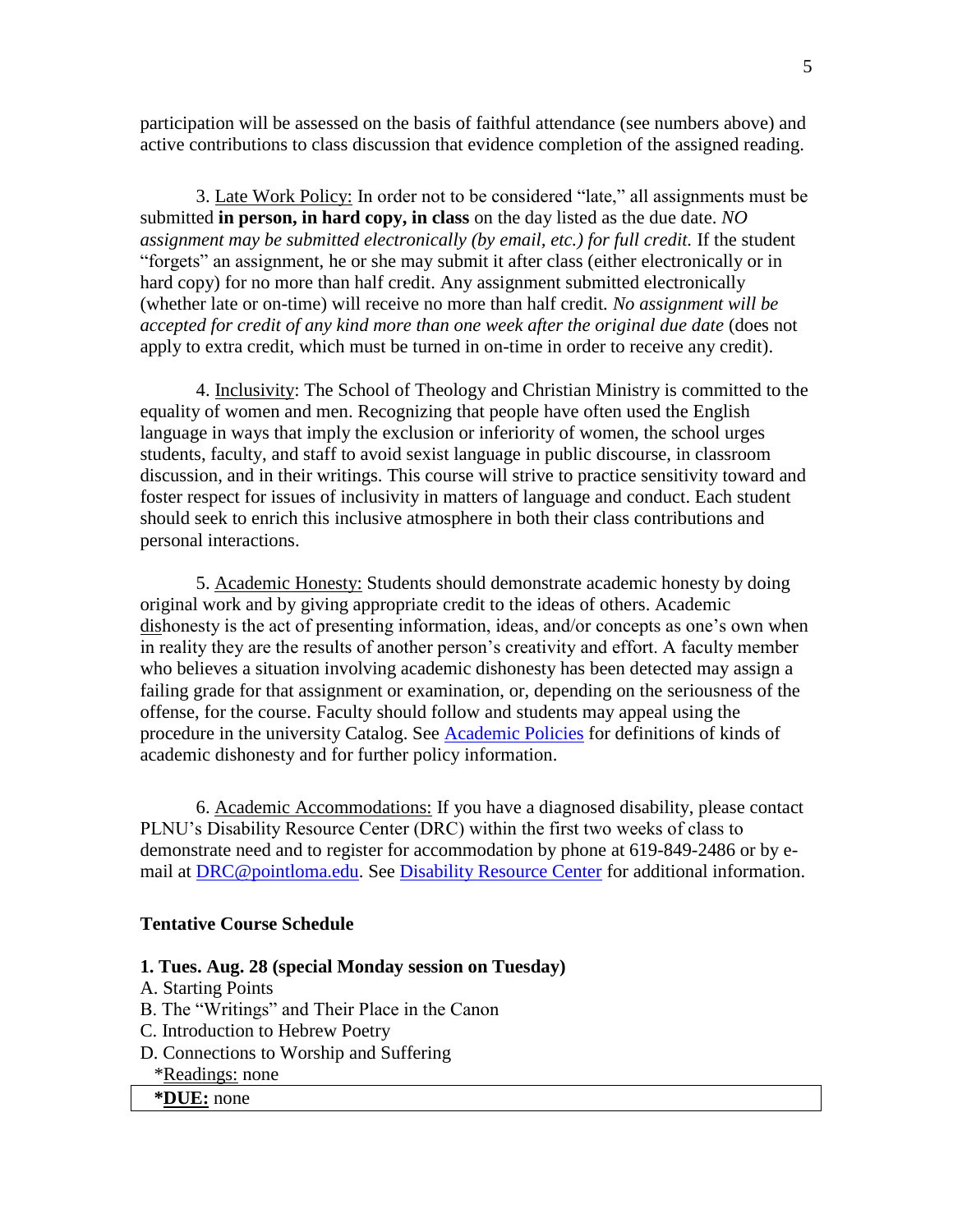participation will be assessed on the basis of faithful attendance (see numbers above) and active contributions to class discussion that evidence completion of the assigned reading.

3. Late Work Policy: In order not to be considered "late," all assignments must be submitted **in person, in hard copy, in class** on the day listed as the due date. *NO assignment may be submitted electronically (by email, etc.) for full credit.* If the student "forgets" an assignment, he or she may submit it after class (either electronically or in hard copy) for no more than half credit. Any assignment submitted electronically (whether late or on-time) will receive no more than half credit*. No assignment will be accepted for credit of any kind more than one week after the original due date* (does not apply to extra credit, which must be turned in on-time in order to receive any credit).

4. Inclusivity: The School of Theology and Christian Ministry is committed to the equality of women and men. Recognizing that people have often used the English language in ways that imply the exclusion or inferiority of women, the school urges students, faculty, and staff to avoid sexist language in public discourse, in classroom discussion, and in their writings. This course will strive to practice sensitivity toward and foster respect for issues of inclusivity in matters of language and conduct. Each student should seek to enrich this inclusive atmosphere in both their class contributions and personal interactions.

5. Academic Honesty: Students should demonstrate academic honesty by doing original work and by giving appropriate credit to the ideas of others. Academic dishonesty is the act of presenting information, ideas, and/or concepts as one's own when in reality they are the results of another person's creativity and effort. A faculty member who believes a situation involving academic dishonesty has been detected may assign a failing grade for that assignment or examination, or, depending on the seriousness of the offense, for the course. Faculty should follow and students may appeal using the procedure in the university Catalog. See [Academic Policies](http://catalog.pointloma.edu/content.php?catoid=18&navoid=1278) for definitions of kinds of academic dishonesty and for further policy information.

6. Academic Accommodations: If you have a diagnosed disability, please contact PLNU's Disability Resource Center (DRC) within the first two weeks of class to demonstrate need and to register for accommodation by phone at 619-849-2486 or by email at [DRC@pointloma.edu.](mailto:DRC@pointloma.edu) See [Disability Resource Center](http://www.pointloma.edu/experience/offices/administrative-offices/academic-advising-office/disability-resource-center) for additional information.

### **Tentative Course Schedule**

# **1. Tues. Aug. 28 (special Monday session on Tuesday)**

- A. Starting Points
- B. The "Writings" and Their Place in the Canon
- C. Introduction to Hebrew Poetry
- D. Connections to Worship and Suffering
	- \*Readings: none
	- **\*DUE:** none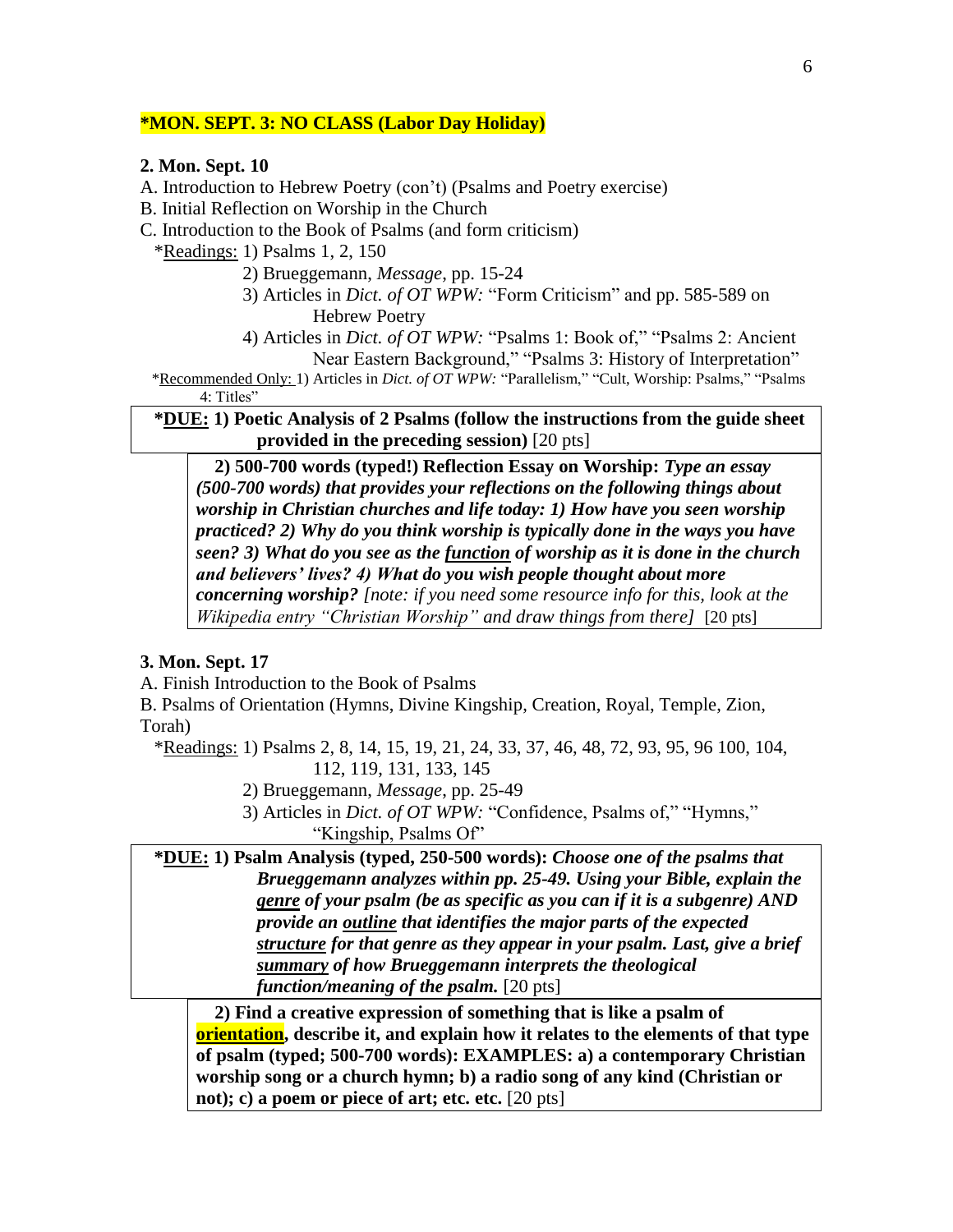# **\*MON. SEPT. 3: NO CLASS (Labor Day Holiday)**

# **2. Mon. Sept. 10**

A. Introduction to Hebrew Poetry (con't) (Psalms and Poetry exercise)

B. Initial Reflection on Worship in the Church

C. Introduction to the Book of Psalms (and form criticism)

\*Readings: 1) Psalms 1, 2, 150

- 2) Brueggemann, *Message*, pp. 15-24
- 3) Articles in *Dict. of OT WPW:* "Form Criticism" and pp. 585-589 on Hebrew Poetry
- 4) Articles in *Dict. of OT WPW:* "Psalms 1: Book of," "Psalms 2: Ancient Near Eastern Background," "Psalms 3: History of Interpretation"

\*Recommended Only: 1) Articles in *Dict. of OT WPW:* "Parallelism," "Cult, Worship: Psalms," "Psalms

4: Titles"

 **\*DUE: 1) Poetic Analysis of 2 Psalms (follow the instructions from the guide sheet provided in the preceding session)** [20 pts]

**2) 500-700 words (typed!) Reflection Essay on Worship:** *Type an essay (500-700 words) that provides your reflections on the following things about worship in Christian churches and life today: 1) How have you seen worship practiced? 2) Why do you think worship is typically done in the ways you have seen? 3) What do you see as the function of worship as it is done in the church and believers' lives? 4) What do you wish people thought about more concerning worship? [note: if you need some resource info for this, look at the Wikipedia entry "Christian Worship" and draw things from there]* [20 pts]

# **3. Mon. Sept. 17**

A. Finish Introduction to the Book of Psalms

B. Psalms of Orientation (Hymns, Divine Kingship, Creation, Royal, Temple, Zion, Torah)

 \*Readings: 1) Psalms 2, 8, 14, 15, 19, 21, 24, 33, 37, 46, 48, 72, 93, 95, 96 100, 104, 112, 119, 131, 133, 145

- 2) Brueggemann, *Message*, pp. 25-49
- 3) Articles in *Dict. of OT WPW:* "Confidence, Psalms of," "Hymns," "Kingship, Psalms Of"

 **\*DUE: 1) Psalm Analysis (typed, 250-500 words):** *Choose one of the psalms that Brueggemann analyzes within pp. 25-49. Using your Bible, explain the genre of your psalm (be as specific as you can if it is a subgenre) AND provide an outline that identifies the major parts of the expected structure for that genre as they appear in your psalm. Last, give a brief summary of how Brueggemann interprets the theological function/meaning of the psalm.* [20 pts]

**2) Find a creative expression of something that is like a psalm of orientation, describe it, and explain how it relates to the elements of that type of psalm (typed; 500-700 words): EXAMPLES: a) a contemporary Christian worship song or a church hymn; b) a radio song of any kind (Christian or not); c) a poem or piece of art; etc. etc.** [20 pts]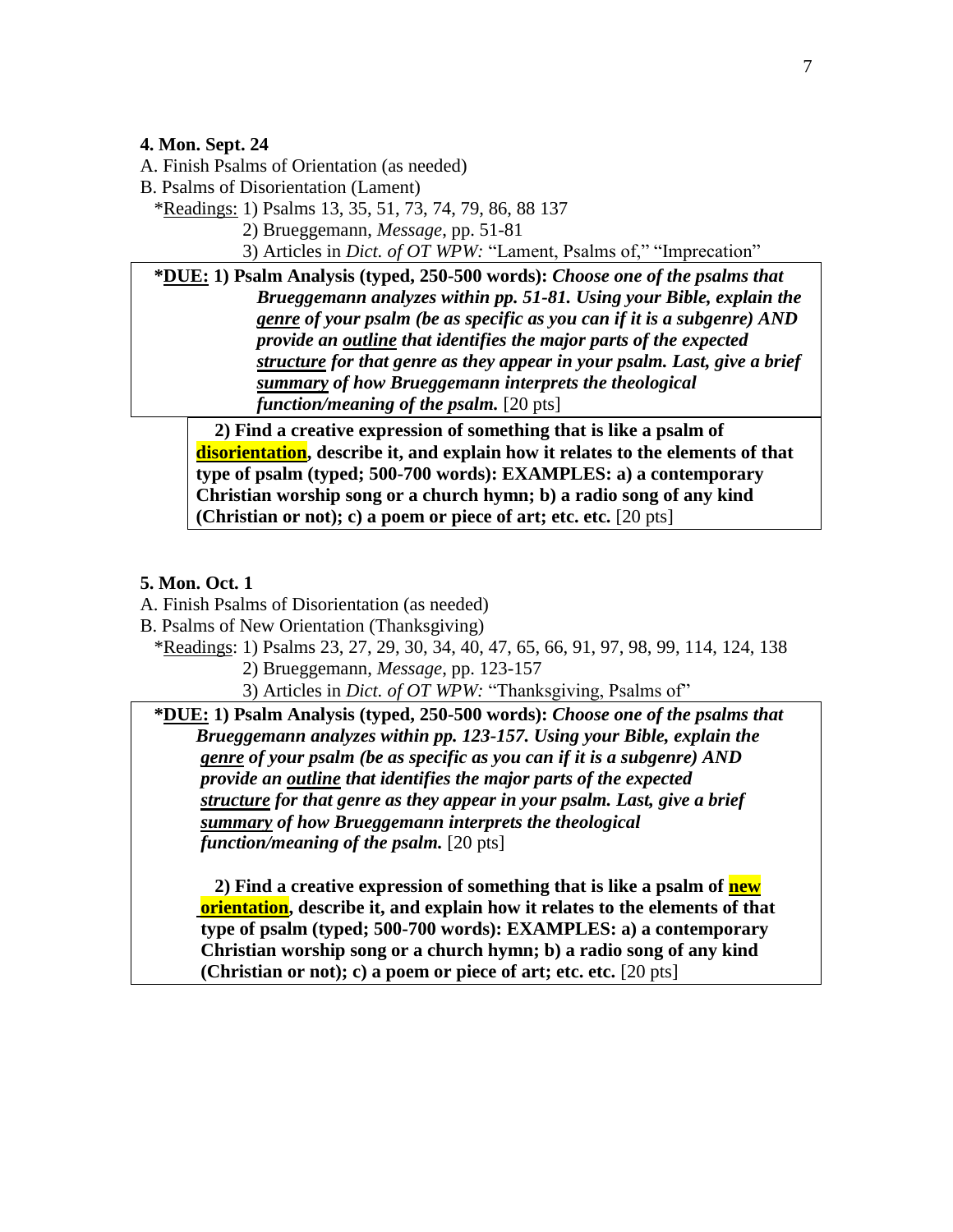### **4. Mon. Sept. 24**

A. Finish Psalms of Orientation (as needed)

B. Psalms of Disorientation (Lament)

\*Readings: 1) Psalms 13, 35, 51, 73, 74, 79, 86, 88 137

2) Brueggemann, *Message*, pp. 51-81

3) Articles in *Dict. of OT WPW:* "Lament, Psalms of," "Imprecation"

 **\*DUE: 1) Psalm Analysis (typed, 250-500 words):** *Choose one of the psalms that Brueggemann analyzes within pp. 51-81. Using your Bible, explain the genre of your psalm (be as specific as you can if it is a subgenre) AND provide an outline that identifies the major parts of the expected structure for that genre as they appear in your psalm. Last, give a brief summary of how Brueggemann interprets the theological function/meaning of the psalm.* [20 pts]

**2) Find a creative expression of something that is like a psalm of disorientation, describe it, and explain how it relates to the elements of that type of psalm (typed; 500-700 words): EXAMPLES: a) a contemporary Christian worship song or a church hymn; b) a radio song of any kind (Christian or not); c) a poem or piece of art; etc. etc.** [20 pts]

# **5. Mon. Oct. 1**

- A. Finish Psalms of Disorientation (as needed)
- B. Psalms of New Orientation (Thanksgiving)
	- \*Readings: 1) Psalms 23, 27, 29, 30, 34, 40, 47, 65, 66, 91, 97, 98, 99, 114, 124, 138
		- 2) Brueggemann, *Message*, pp. 123-157
		- 3) Articles in *Dict. of OT WPW:* "Thanksgiving, Psalms of"

 **\*DUE: 1) Psalm Analysis (typed, 250-500 words):** *Choose one of the psalms that Brueggemann analyzes within pp. 123-157. Using your Bible, explain the genre of your psalm (be as specific as you can if it is a subgenre) AND provide an outline that identifies the major parts of the expected structure for that genre as they appear in your psalm. Last, give a brief summary of how Brueggemann interprets the theological function/meaning of the psalm.* [20 pts]

 **2) Find a creative expression of something that is like a psalm of new orientation, describe it, and explain how it relates to the elements of that type of psalm (typed; 500-700 words): EXAMPLES: a) a contemporary Christian worship song or a church hymn; b) a radio song of any kind (Christian or not); c) a poem or piece of art; etc. etc.** [20 pts]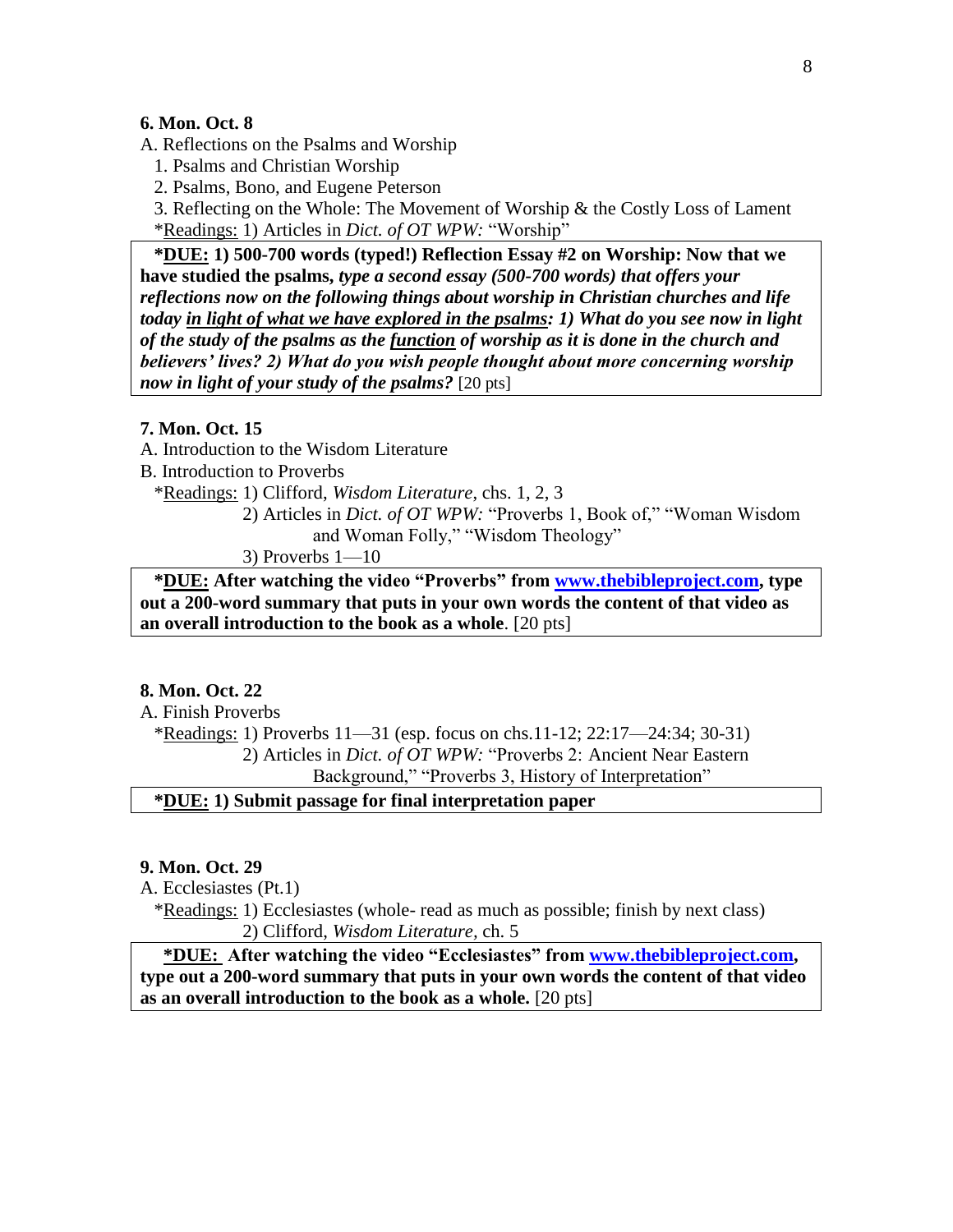# **6. Mon. Oct. 8**

A. Reflections on the Psalms and Worship

1. Psalms and Christian Worship

2. Psalms, Bono, and Eugene Peterson

 3. Reflecting on the Whole: The Movement of Worship & the Costly Loss of Lament \*Readings: 1) Articles in *Dict. of OT WPW:* "Worship"

 **\*DUE: 1) 500-700 words (typed!) Reflection Essay #2 on Worship: Now that we have studied the psalms,** *type a second essay (500-700 words) that offers your reflections now on the following things about worship in Christian churches and life today in light of what we have explored in the psalms: 1) What do you see now in light of the study of the psalms as the function of worship as it is done in the church and believers' lives? 2) What do you wish people thought about more concerning worship now in light of your study of the psalms?* [20 pts]

### **7. Mon. Oct. 15**

A. Introduction to the Wisdom Literature

B. Introduction to Proverbs

\*Readings: 1) Clifford, *Wisdom Literature*, chs. 1, 2, 3

 2) Articles in *Dict. of OT WPW:* "Proverbs 1, Book of," "Woman Wisdom and Woman Folly," "Wisdom Theology"

3) Proverbs 1—10

 **\*DUE: After watching the video "Proverbs" from [www.thebibleproject.com,](http://www.thebibleproject.com/) type out a 200-word summary that puts in your own words the content of that video as an overall introduction to the book as a whole**. [20 pts]

### **8. Mon. Oct. 22**

A. Finish Proverbs

 \*Readings: 1) Proverbs 11—31 (esp. focus on chs.11-12; 22:17—24:34; 30-31) 2) Articles in *Dict. of OT WPW:* "Proverbs 2: Ancient Near Eastern

Background," "Proverbs 3, History of Interpretation"

# **\*DUE: 1) Submit passage for final interpretation paper**

### **9. Mon. Oct. 29**

A. Ecclesiastes (Pt.1)

 \*Readings: 1) Ecclesiastes (whole- read as much as possible; finish by next class) 2) Clifford, *Wisdom Literature,* ch. 5

 **\*DUE: After watching the video "Ecclesiastes" from [www.thebibleproject.com,](http://www.thebibleproject.com/) type out a 200-word summary that puts in your own words the content of that video as an overall introduction to the book as a whole.** [20 pts]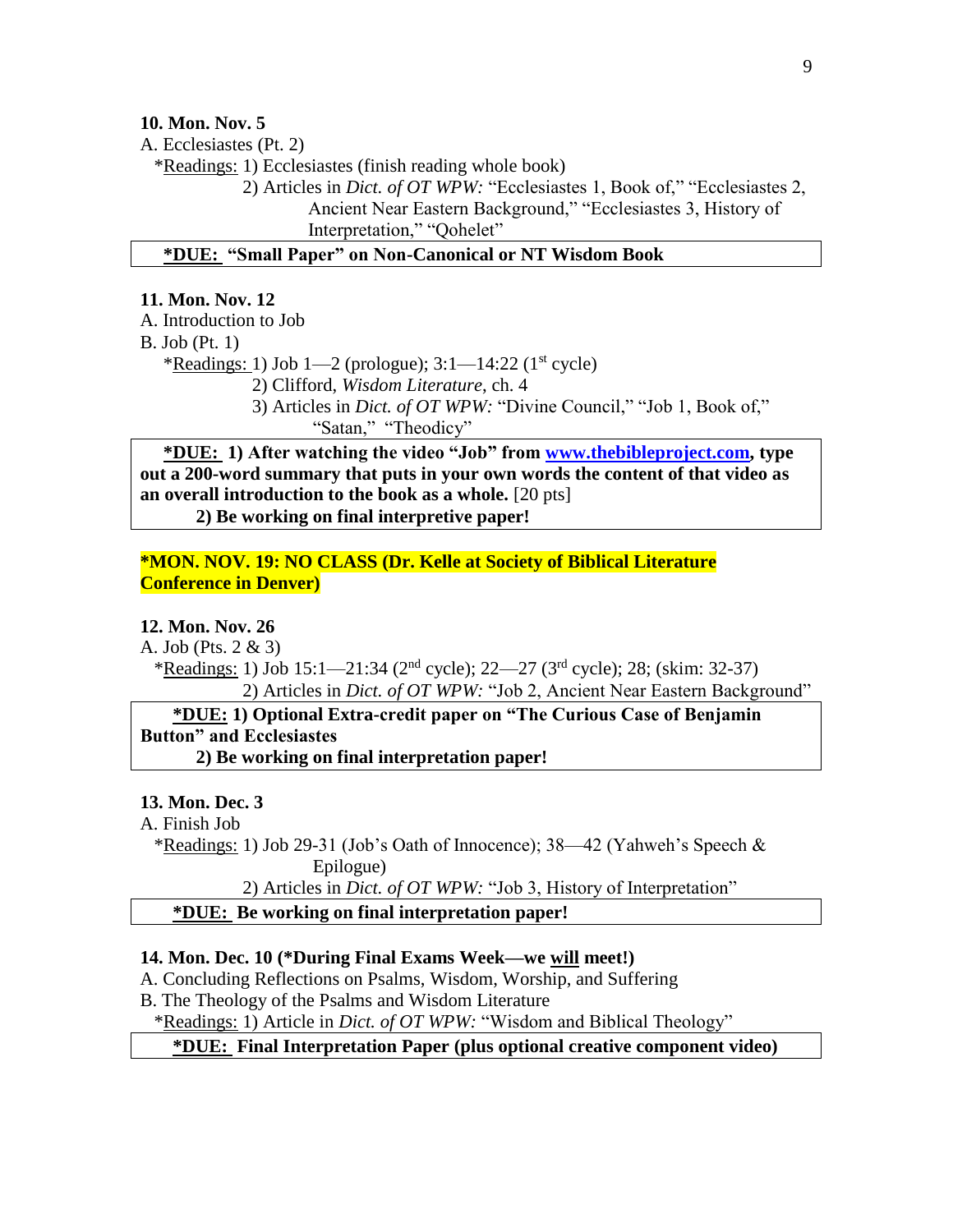**10. Mon. Nov. 5**

A. Ecclesiastes (Pt. 2)

\*Readings: 1) Ecclesiastes (finish reading whole book)

 2) Articles in *Dict. of OT WPW:* "Ecclesiastes 1, Book of," "Ecclesiastes 2, Ancient Near Eastern Background," "Ecclesiastes 3, History of Interpretation," "Qohelet"

**\*DUE: "Small Paper" on Non-Canonical or NT Wisdom Book**

### **11. Mon. Nov. 12**

A. Introduction to Job

B. Job (Pt. 1)

\*Readings: 1) Job 1—2 (prologue);  $3:1-14:22$  (1<sup>st</sup> cycle)

2) Clifford, *Wisdom Literature*, ch. 4

3) Articles in *Dict. of OT WPW:* "Divine Council," "Job 1, Book of," "Satan," "Theodicy"

 **\*DUE: 1) After watching the video "Job" from [www.thebibleproject.com,](http://www.thebibleproject.com/) type out a 200-word summary that puts in your own words the content of that video as an overall introduction to the book as a whole.** [20 pts]

**2) Be working on final interpretive paper!**

# **\*MON. NOV. 19: NO CLASS (Dr. Kelle at Society of Biblical Literature Conference in Denver)**

# **12. Mon. Nov. 26**

A. Job (Pts. 2 & 3)

\*Readings: 1) Job 15:1—21:34 ( $2<sup>nd</sup>$  cycle);  $22-27$  ( $3<sup>rd</sup>$  cycle);  $28$ ; (skim: 32-37) 2) Articles in *Dict. of OT WPW:* "Job 2, Ancient Near Eastern Background"

 **\*DUE: 1) Optional Extra-credit paper on "The Curious Case of Benjamin Button" and Ecclesiastes**

**2) Be working on final interpretation paper!**

### **13. Mon. Dec. 3**

### A. Finish Job

 \*Readings: 1) Job 29-31 (Job's Oath of Innocence); 38—42 (Yahweh's Speech & Epilogue)

2) Articles in *Dict. of OT WPW:* "Job 3, History of Interpretation"

**\*DUE: Be working on final interpretation paper!**

### **14. Mon. Dec. 10 (\*During Final Exams Week—we will meet!)**

A. Concluding Reflections on Psalms, Wisdom, Worship, and Suffering

B. The Theology of the Psalms and Wisdom Literature

\*Readings: 1) Article in *Dict. of OT WPW:* "Wisdom and Biblical Theology"

# **\*DUE: Final Interpretation Paper (plus optional creative component video)**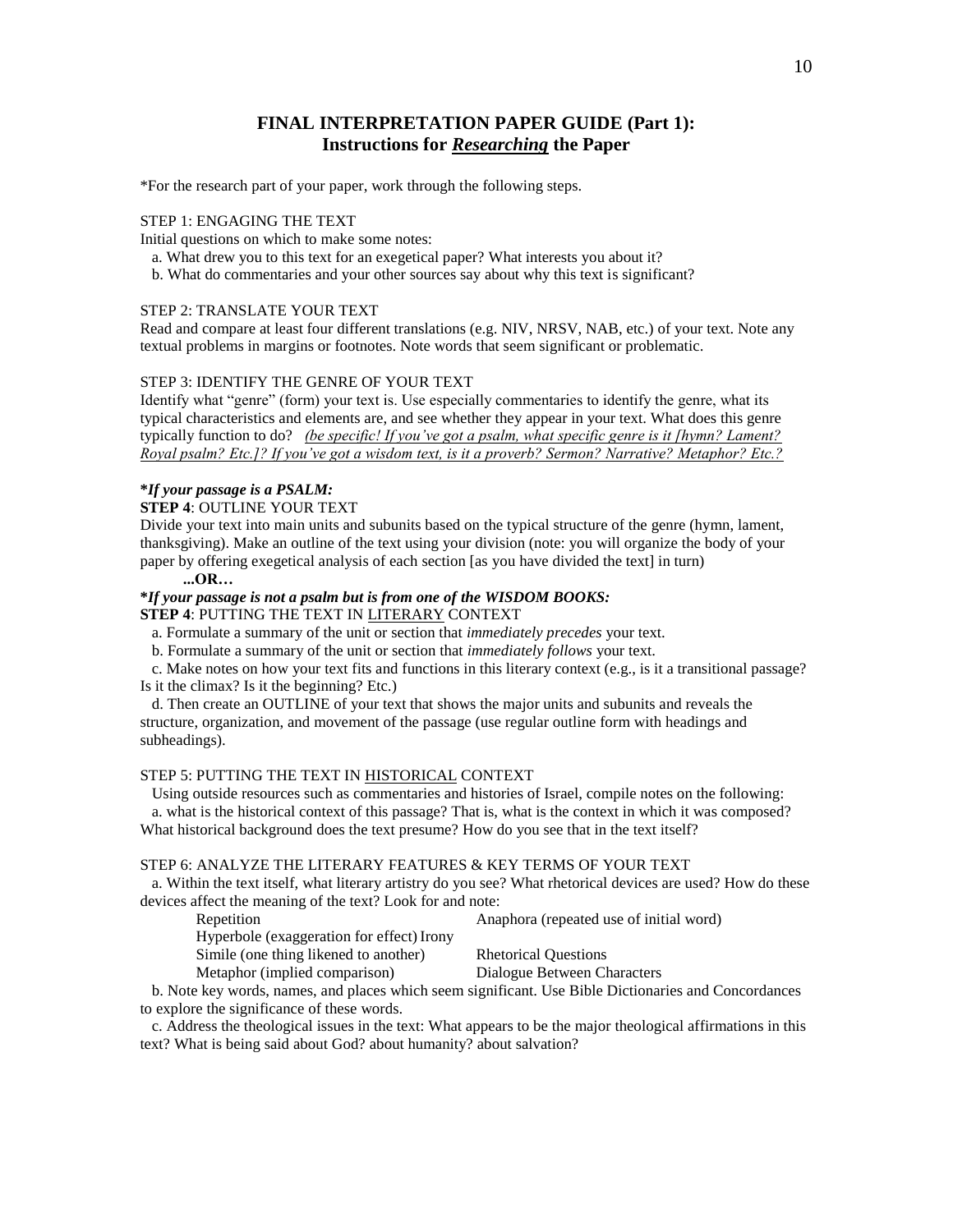# **FINAL INTERPRETATION PAPER GUIDE (Part 1): Instructions for** *Researching* **the Paper**

\*For the research part of your paper, work through the following steps.

#### STEP 1: ENGAGING THE TEXT

Initial questions on which to make some notes:

a. What drew you to this text for an exegetical paper? What interests you about it?

b. What do commentaries and your other sources say about why this text is significant?

#### STEP 2: TRANSLATE YOUR TEXT

Read and compare at least four different translations (e.g. NIV, NRSV, NAB, etc.) of your text. Note any textual problems in margins or footnotes. Note words that seem significant or problematic.

#### STEP 3: IDENTIFY THE GENRE OF YOUR TEXT

Identify what "genre" (form) your text is. Use especially commentaries to identify the genre, what its typical characteristics and elements are, and see whether they appear in your text. What does this genre typically function to do? *(be specific! If you've got a psalm, what specific genre is it [hymn? Lament? Royal psalm? Etc.]? If you've got a wisdom text, is it a proverb? Sermon? Narrative? Metaphor? Etc.?*

#### **\****If your passage is a PSALM:*

#### **STEP 4**: OUTLINE YOUR TEXT

Divide your text into main units and subunits based on the typical structure of the genre (hymn, lament, thanksgiving). Make an outline of the text using your division (note: you will organize the body of your paper by offering exegetical analysis of each section [as you have divided the text] in turn)

#### **...OR…**

# **\****If your passage is not a psalm but is from one of the WISDOM BOOKS:*

**STEP 4**: PUTTING THE TEXT IN LITERARY CONTEXT

- a. Formulate a summary of the unit or section that *immediately precedes* your text.
- b. Formulate a summary of the unit or section that *immediately follows* your text.

 c. Make notes on how your text fits and functions in this literary context (e.g., is it a transitional passage? Is it the climax? Is it the beginning? Etc.)

 d. Then create an OUTLINE of your text that shows the major units and subunits and reveals the structure, organization, and movement of the passage (use regular outline form with headings and subheadings).

#### STEP 5: PUTTING THE TEXT IN HISTORICAL CONTEXT

 Using outside resources such as commentaries and histories of Israel, compile notes on the following: a. what is the historical context of this passage? That is, what is the context in which it was composed? What historical background does the text presume? How do you see that in the text itself?

#### STEP 6: ANALYZE THE LITERARY FEATURES & KEY TERMS OF YOUR TEXT

 a. Within the text itself, what literary artistry do you see? What rhetorical devices are used? How do these devices affect the meaning of the text? Look for and note:

Repetition Anaphora (repeated use of initial word)<br>
Hunschale (represention for effect)<br>
Insure

| .                                         |                             |
|-------------------------------------------|-----------------------------|
| Hyperbole (exaggeration for effect) Irony |                             |
| Simile (one thing like ned to another)    | <b>Rhetorical Questions</b> |

Metaphor (implied comparison) Dialogue Between Characters

 b. Note key words, names, and places which seem significant. Use Bible Dictionaries and Concordances to explore the significance of these words.

 c. Address the theological issues in the text: What appears to be the major theological affirmations in this text? What is being said about God? about humanity? about salvation?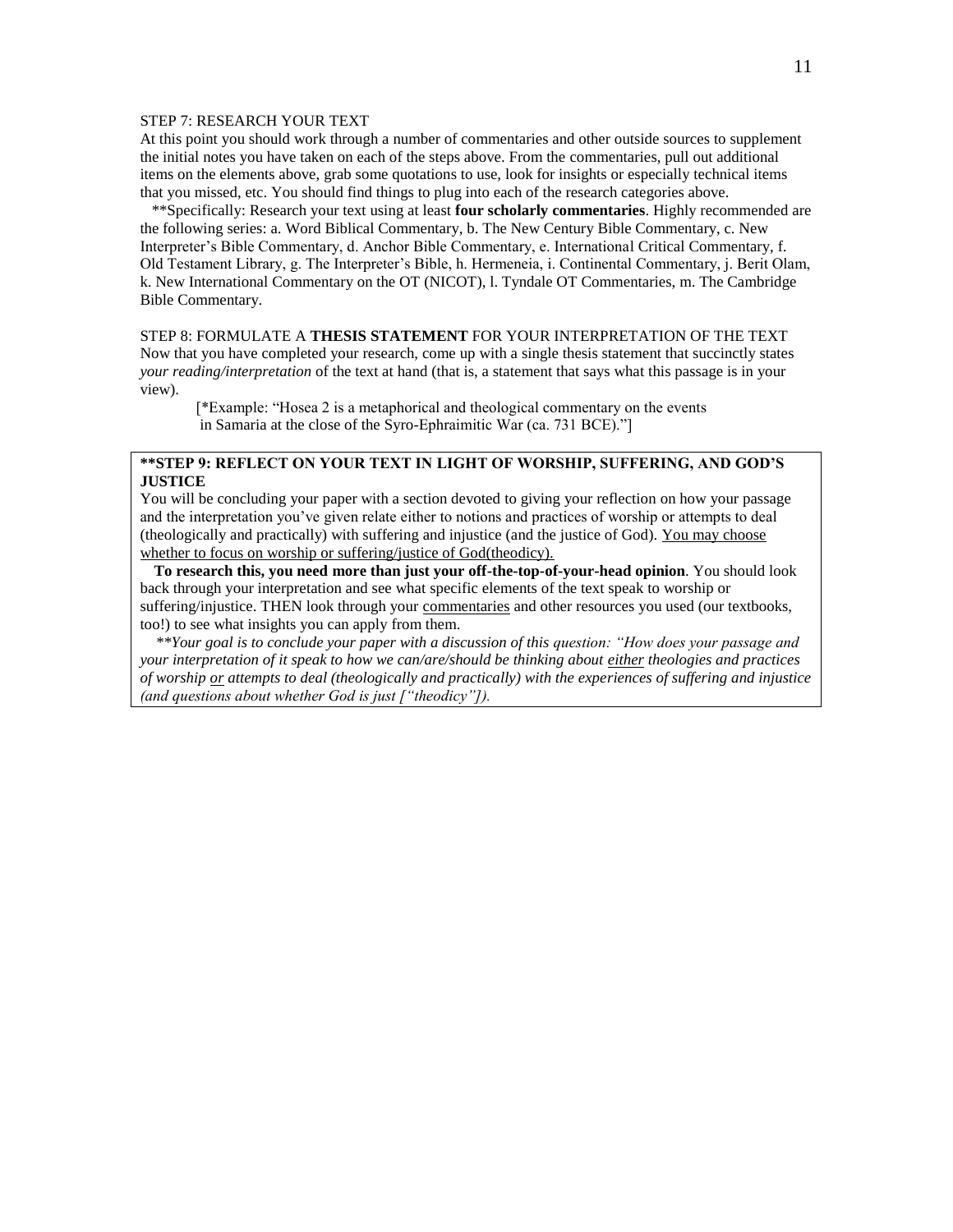#### STEP 7: RESEARCH YOUR TEXT

At this point you should work through a number of commentaries and other outside sources to supplement the initial notes you have taken on each of the steps above. From the commentaries, pull out additional items on the elements above, grab some quotations to use, look for insights or especially technical items that you missed, etc. You should find things to plug into each of the research categories above.

 \*\*Specifically: Research your text using at least **four scholarly commentaries**. Highly recommended are the following series: a. Word Biblical Commentary, b. The New Century Bible Commentary, c. New Interpreter's Bible Commentary, d. Anchor Bible Commentary, e. International Critical Commentary, f. Old Testament Library, g. The Interpreter's Bible, h. Hermeneia, i. Continental Commentary, j. Berit Olam, k. New International Commentary on the OT (NICOT), l. Tyndale OT Commentaries, m. The Cambridge Bible Commentary.

#### STEP 8: FORMULATE A **THESIS STATEMENT** FOR YOUR INTERPRETATION OF THE TEXT

Now that you have completed your research, come up with a single thesis statement that succinctly states *your reading/interpretation* of the text at hand (that is, a statement that says what this passage is in your view).

[\*Example: "Hosea 2 is a metaphorical and theological commentary on the events in Samaria at the close of the Syro-Ephraimitic War (ca. 731 BCE)."]

### **\*\*STEP 9: REFLECT ON YOUR TEXT IN LIGHT OF WORSHIP, SUFFERING, AND GOD'S JUSTICE**

You will be concluding your paper with a section devoted to giving your reflection on how your passage and the interpretation you've given relate either to notions and practices of worship or attempts to deal (theologically and practically) with suffering and injustice (and the justice of God). You may choose whether to focus on worship or suffering/justice of God(theodicy).

 **To research this, you need more than just your off-the-top-of-your-head opinion**. You should look back through your interpretation and see what specific elements of the text speak to worship or suffering/injustice. THEN look through your commentaries and other resources you used (our textbooks, too!) to see what insights you can apply from them.

 *\*\*Your goal is to conclude your paper with a discussion of this question: "How does your passage and your interpretation of it speak to how we can/are/should be thinking about either theologies and practices of worship or attempts to deal (theologically and practically) with the experiences of suffering and injustice (and questions about whether God is just ["theodicy"]).*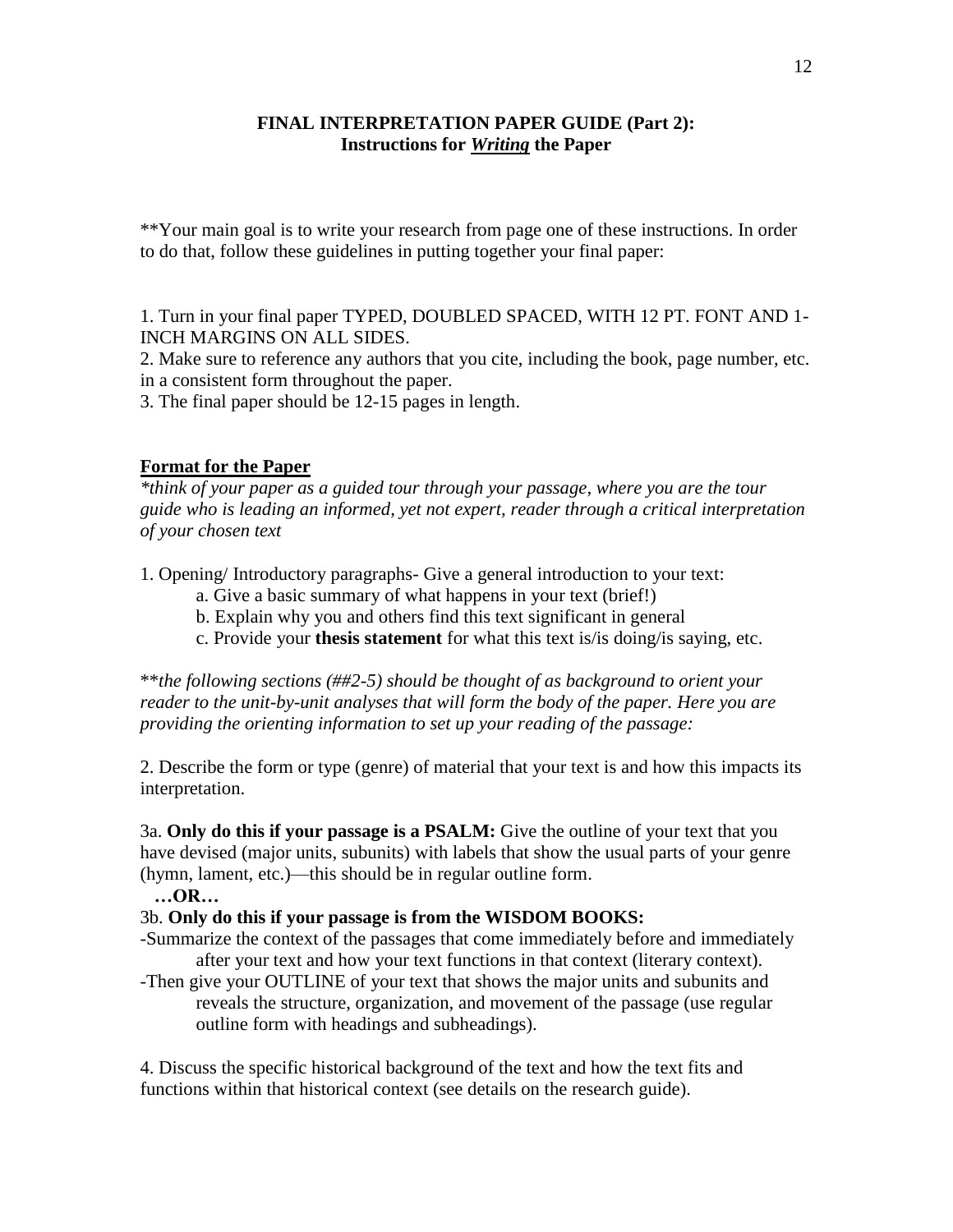# **FINAL INTERPRETATION PAPER GUIDE (Part 2): Instructions for** *Writing* **the Paper**

\*\*Your main goal is to write your research from page one of these instructions. In order to do that, follow these guidelines in putting together your final paper:

1. Turn in your final paper TYPED, DOUBLED SPACED, WITH 12 PT. FONT AND 1- INCH MARGINS ON ALL SIDES.

2. Make sure to reference any authors that you cite, including the book, page number, etc. in a consistent form throughout the paper.

3. The final paper should be 12-15 pages in length.

# **Format for the Paper**

*\*think of your paper as a guided tour through your passage, where you are the tour guide who is leading an informed, yet not expert, reader through a critical interpretation of your chosen text*

1. Opening/ Introductory paragraphs- Give a general introduction to your text:

- a. Give a basic summary of what happens in your text (brief!)
- b. Explain why you and others find this text significant in general
- c. Provide your **thesis statement** for what this text is/is doing/is saying, etc.

\*\**the following sections (##2-5) should be thought of as background to orient your reader to the unit-by-unit analyses that will form the body of the paper. Here you are providing the orienting information to set up your reading of the passage:*

2. Describe the form or type (genre) of material that your text is and how this impacts its interpretation.

3a. **Only do this if your passage is a PSALM:** Give the outline of your text that you have devised (major units, subunits) with labels that show the usual parts of your genre (hymn, lament, etc.)—this should be in regular outline form.

### **…OR…**

# 3b. **Only do this if your passage is from the WISDOM BOOKS:**

-Summarize the context of the passages that come immediately before and immediately after your text and how your text functions in that context (literary context).

-Then give your OUTLINE of your text that shows the major units and subunits and reveals the structure, organization, and movement of the passage (use regular outline form with headings and subheadings).

4. Discuss the specific historical background of the text and how the text fits and functions within that historical context (see details on the research guide).